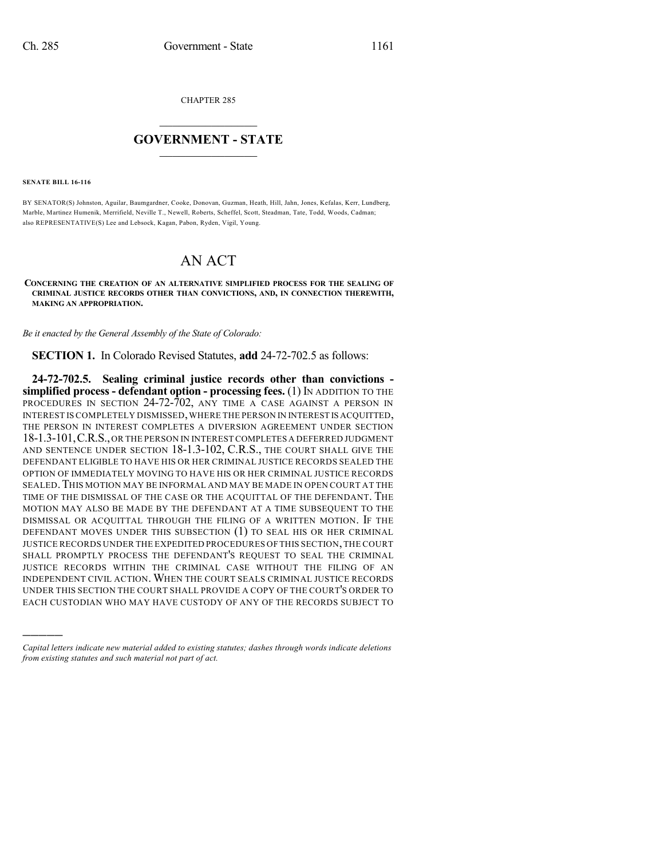CHAPTER 285

## $\overline{\phantom{a}}$  . The set of the set of the set of the set of the set of the set of the set of the set of the set of the set of the set of the set of the set of the set of the set of the set of the set of the set of the set o **GOVERNMENT - STATE**  $\_$

**SENATE BILL 16-116**

)))))

BY SENATOR(S) Johnston, Aguilar, Baumgardner, Cooke, Donovan, Guzman, Heath, Hill, Jahn, Jones, Kefalas, Kerr, Lundberg, Marble, Martinez Humenik, Merrifield, Neville T., Newell, Roberts, Scheffel, Scott, Steadman, Tate, Todd, Woods, Cadman; also REPRESENTATIVE(S) Lee and Lebsock, Kagan, Pabon, Ryden, Vigil, Young.

## AN ACT

**CONCERNING THE CREATION OF AN ALTERNATIVE SIMPLIFIED PROCESS FOR THE SEALING OF CRIMINAL JUSTICE RECORDS OTHER THAN CONVICTIONS, AND, IN CONNECTION THEREWITH, MAKING AN APPROPRIATION.**

*Be it enacted by the General Assembly of the State of Colorado:*

**SECTION 1.** In Colorado Revised Statutes, **add** 24-72-702.5 as follows:

**24-72-702.5. Sealing criminal justice records other than convictions simplified process - defendant option - processing fees.** (1) IN ADDITION TO THE PROCEDURES IN SECTION 24-72-702, ANY TIME A CASE AGAINST A PERSON IN INTEREST IS COMPLETELY DISMISSED,WHERE THE PERSON IN INTEREST IS ACQUITTED, THE PERSON IN INTEREST COMPLETES A DIVERSION AGREEMENT UNDER SECTION 18-1.3-101,C.R.S.,OR THE PERSON IN INTERESTCOMPLETES A DEFERRED JUDGMENT AND SENTENCE UNDER SECTION 18-1.3-102, C.R.S., THE COURT SHALL GIVE THE DEFENDANT ELIGIBLE TO HAVE HIS OR HER CRIMINAL JUSTICE RECORDS SEALED THE OPTION OF IMMEDIATELY MOVING TO HAVE HIS OR HER CRIMINAL JUSTICE RECORDS SEALED. THIS MOTION MAY BE INFORMAL AND MAY BE MADE IN OPEN COURT AT THE TIME OF THE DISMISSAL OF THE CASE OR THE ACQUITTAL OF THE DEFENDANT. THE MOTION MAY ALSO BE MADE BY THE DEFENDANT AT A TIME SUBSEQUENT TO THE DISMISSAL OR ACQUITTAL THROUGH THE FILING OF A WRITTEN MOTION. IF THE DEFENDANT MOVES UNDER THIS SUBSECTION (1) TO SEAL HIS OR HER CRIMINAL JUSTICE RECORDS UNDER THE EXPEDITED PROCEDURES OF THIS SECTION,THE COURT SHALL PROMPTLY PROCESS THE DEFENDANT'S REQUEST TO SEAL THE CRIMINAL JUSTICE RECORDS WITHIN THE CRIMINAL CASE WITHOUT THE FILING OF AN INDEPENDENT CIVIL ACTION. WHEN THE COURT SEALS CRIMINAL JUSTICE RECORDS UNDER THIS SECTION THE COURT SHALL PROVIDE A COPY OF THE COURT'S ORDER TO EACH CUSTODIAN WHO MAY HAVE CUSTODY OF ANY OF THE RECORDS SUBJECT TO

*Capital letters indicate new material added to existing statutes; dashes through words indicate deletions from existing statutes and such material not part of act.*